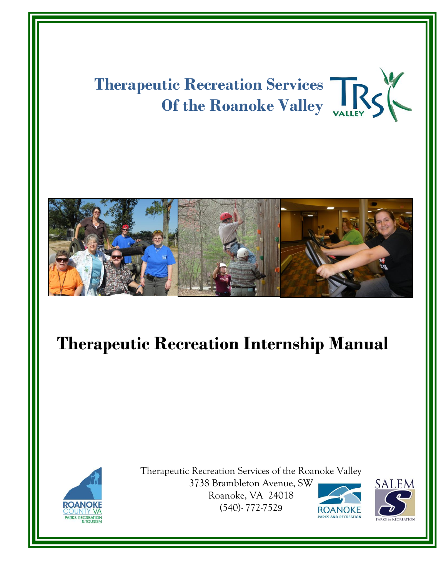



Therapeutic Recreation Services of the Roanoke Valley 3738 Brambleton Avenue, SW Roanoke, VA 24018 (540)- 772-7529



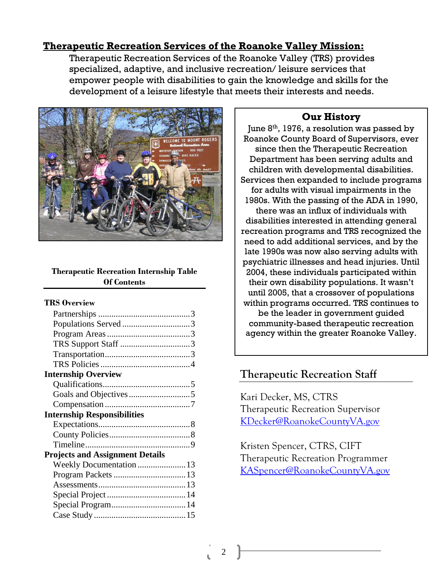### **Therapeutic Recreation Services of the Roanoke Valley Mission:**

Therapeutic Recreation Services of the Roanoke Valley (TRS) provides specialized, adaptive, and inclusive recreation/ leisure services that empower people with disabilities to gain the knowledge and skills for the development of a leisure lifestyle that meets their interests and needs.



#### **Therapeutic Recreation Internship Table Of Contents**

#### **TRS Overview**

|                                        | Populations Served 3       |  |
|----------------------------------------|----------------------------|--|
|                                        |                            |  |
|                                        |                            |  |
|                                        |                            |  |
|                                        |                            |  |
|                                        | <b>Internship Overview</b> |  |
|                                        |                            |  |
|                                        |                            |  |
|                                        |                            |  |
|                                        |                            |  |
| <b>Internship Responsibilities</b>     |                            |  |
|                                        |                            |  |
|                                        |                            |  |
|                                        |                            |  |
| <b>Projects and Assignment Details</b> |                            |  |
|                                        | Weekly Documentation  13   |  |
|                                        |                            |  |
|                                        |                            |  |
|                                        |                            |  |
|                                        |                            |  |
|                                        |                            |  |
|                                        |                            |  |

## **Our History**

June 8<sup>th</sup>, 1976, a resolution was passed by Roanoke County Board of Supervisors, ever since then the Therapeutic Recreation Department has been serving adults and children with developmental disabilities. Services then expanded to include programs for adults with visual impairments in the 1980s. With the passing of the ADA in 1990, there was an influx of individuals with disabilities interested in attending general recreation programs and TRS recognized the need to add additional services, and by the late 1990s was now also serving adults with psychiatric illnesses and head injuries. Until 2004, these individuals participated within their own disability populations. It wasn't until 2005, that a crossover of populations within programs occurred. TRS continues to be the leader in government guided community-based therapeutic recreation agency within the greater Roanoke Valley.

## **Therapeutic Recreation Staff**

Kari Decker, MS, CTRS Therapeutic Recreation Supervisor [KDecker@RoanokeCountyVA.gov](mailto:KDecker@RoanokeCountyVA.gov)

Kristen Spencer, CTRS, CIFT Therapeutic Recreation Programmer [KASpencer@RoanokeCountyVA.gov](mailto:KASpencer@RoanokeCountyVA.gov)

 $\mathcal{D}_{\mathcal{L}}$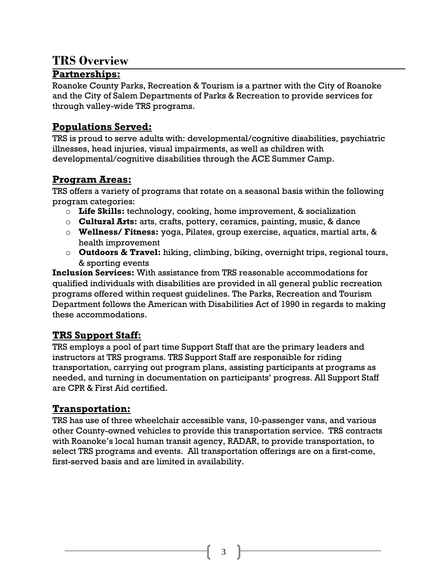# **TRS Overview**

## **Partnerships:**

Roanoke County Parks, Recreation & Tourism is a partner with the City of Roanoke and the City of Salem Departments of Parks & Recreation to provide services for through valley-wide TRS programs.

# **Populations Served:**

TRS is proud to serve adults with: developmental/cognitive disabilities, psychiatric illnesses, head injuries, visual impairments, as well as children with developmental/cognitive disabilities through the ACE Summer Camp.

# **Program Areas:**

TRS offers a variety of programs that rotate on a seasonal basis within the following program categories:

- o **Life Skills:** technology, cooking, home improvement, & socialization
- o **Cultural Arts:** arts, crafts, pottery, ceramics, painting, music, & dance
- o **Wellness/ Fitness:** yoga, Pilates, group exercise, aquatics, martial arts, & health improvement
- o **Outdoors & Travel:** hiking, climbing, biking, overnight trips, regional tours, & sporting events

**Inclusion Services:** With assistance from TRS reasonable accommodations for qualified individuals with disabilities are provided in all general public recreation programs offered within request guidelines. The Parks, Recreation and Tourism Department follows the American with Disabilities Act of 1990 in regards to making these accommodations.

# **TRS Support Staff:**

TRS employs a pool of part time Support Staff that are the primary leaders and instructors at TRS programs. TRS Support Staff are responsible for riding transportation, carrying out program plans, assisting participants at programs as needed, and turning in documentation on participants' progress. All Support Staff are CPR & First Aid certified.

# **Transportation:**

TRS has use of three wheelchair accessible vans, 10-passenger vans, and various other County-owned vehicles to provide this transportation service. TRS contracts with Roanoke's local human transit agency, RADAR, to provide transportation, to select TRS programs and events. All transportation offerings are on a first-come, first-served basis and are limited in availability.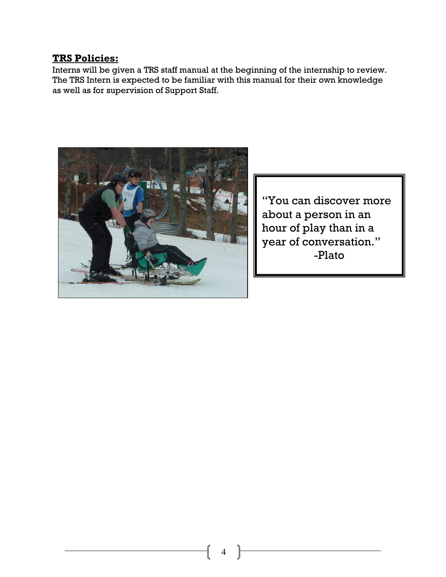### **TRS Policies:**

Interns will be given a TRS staff manual at the beginning of the internship to review. The TRS Intern is expected to be familiar with this manual for their own knowledge as well as for supervision of Support Staff.



"You can discover more about a person in an hour of play than in a year of conversation." -Plato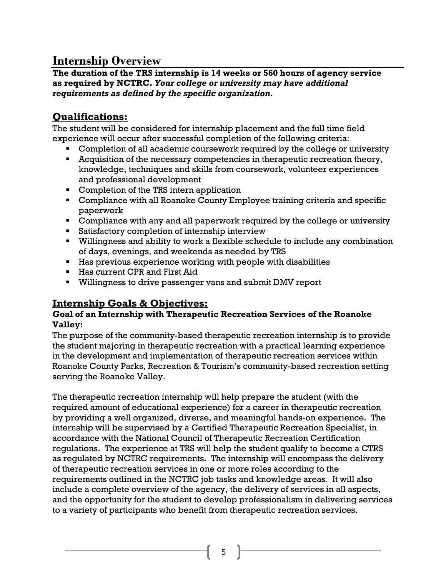# **Internship Overview**

**The duration of the TRS internship is 14 weeks or 560 hours of agency service as required by NCTRC.** *Your college or university may have additional requirements as defined by the specific organization.*

# **Qualifications:**

The student will be considered for internship placement and the full time field experience will occur after successful completion of the following criteria:

- Completion of all academic coursework required by the college or university
- Acquisition of the necessary competencies in therapeutic recreation theory, knowledge, techniques and skills from coursework, volunteer experiences and professional development
- Completion of the TRS intern application
- **Compliance with all Roanoke County Employee training criteria and specific** paperwork
- **Compliance with any and all paperwork required by the college or university**
- **Satisfactory completion of internship interview**
- Willingness and ability to work a flexible schedule to include any combination of days, evenings, and weekends as needed by TRS
- Has previous experience working with people with disabilities
- **Has current CPR and First Aid**
- Willingness to drive passenger vans and submit DMV report

# **Internship Goals & Objectives:**

### **Goal of an Internship with Therapeutic Recreation Services of the Roanoke Valley:**

The purpose of the community-based therapeutic recreation internship is to provide the student majoring in therapeutic recreation with a practical learning experience in the development and implementation of therapeutic recreation services within Roanoke County Parks, Recreation & Tourism's community-based recreation setting serving the Roanoke Valley.

The therapeutic recreation internship will help prepare the student (with the required amount of educational experience) for a career in therapeutic recreation by providing a well organized, diverse, and meaningful hands-on experience. The internship will be supervised by a Certified Therapeutic Recreation Specialist, in accordance with the National Council of Therapeutic Recreation Certification regulations. The experience at TRS will help the student qualify to become a CTRS as regulated by NCTRC requirements. The internship will encompass the delivery of therapeutic recreation services in one or more roles according to the requirements outlined in the NCTRC job tasks and knowledge areas. It will also include a complete overview of the agency, the delivery of services in all aspects, and the opportunity for the student to develop professionalism in delivering services to a variety of participants who benefit from therapeutic recreation services.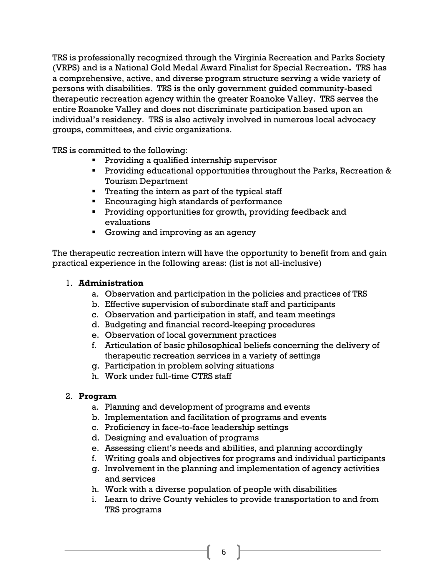TRS is professionally recognized through the Virginia Recreation and Parks Society (VRPS) and is a National Gold Medal Award Finalist for Special Recreation**.** TRS has a comprehensive, active, and diverse program structure serving a wide variety of persons with disabilities. TRS is the only government guided community-based therapeutic recreation agency within the greater Roanoke Valley. TRS serves the entire Roanoke Valley and does not discriminate participation based upon an individual's residency. TRS is also actively involved in numerous local advocacy groups, committees, and civic organizations.

TRS is committed to the following:

- **Providing a qualified internship supervisor**
- **Providing educational opportunities throughout the Parks, Recreation &** Tourism Department
- **Treating the intern as part of the typical staff**
- **Encouraging high standards of performance**
- **Providing opportunities for growth, providing feedback and** evaluations
- **Growing and improving as an agency**

The therapeutic recreation intern will have the opportunity to benefit from and gain practical experience in the following areas: (list is not all-inclusive)

#### 1. **Administration**

- a. Observation and participation in the policies and practices of TRS
- b. Effective supervision of subordinate staff and participants
- c. Observation and participation in staff, and team meetings
- d. Budgeting and financial record-keeping procedures
- e. Observation of local government practices
- f. Articulation of basic philosophical beliefs concerning the delivery of therapeutic recreation services in a variety of settings
- g. Participation in problem solving situations
- h. Work under full-time CTRS staff

#### 2. **Program**

- a. Planning and development of programs and events
- b. Implementation and facilitation of programs and events
- c. Proficiency in face-to-face leadership settings
- d. Designing and evaluation of programs
- e. Assessing client's needs and abilities, and planning accordingly
- f. Writing goals and objectives for programs and individual participants
- g. Involvement in the planning and implementation of agency activities and services
- h. Work with a diverse population of people with disabilities
- i. Learn to drive County vehicles to provide transportation to and from TRS programs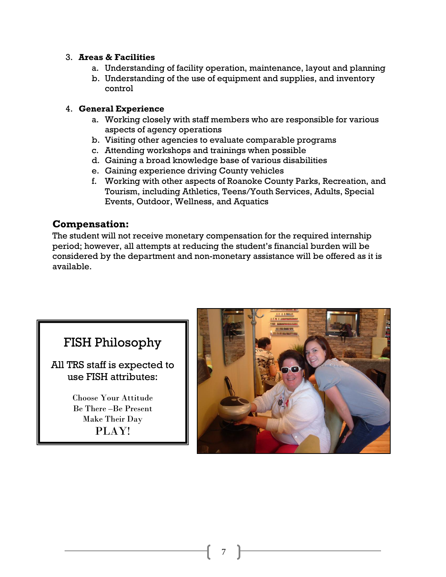#### 3. **Areas & Facilities**

- a. Understanding of facility operation, maintenance, layout and planning
- b. Understanding of the use of equipment and supplies, and inventory control

#### 4. **General Experience**

- a. Working closely with staff members who are responsible for various aspects of agency operations
- b. Visiting other agencies to evaluate comparable programs
- c. Attending workshops and trainings when possible
- d. Gaining a broad knowledge base of various disabilities
- e. Gaining experience driving County vehicles
- f. Working with other aspects of Roanoke County Parks, Recreation, and Tourism, including Athletics, Teens/Youth Services, Adults, Special Events, Outdoor, Wellness, and Aquatics

### **Compensation:**

The student will not receive monetary compensation for the required internship period; however, all attempts at reducing the student's financial burden will be considered by the department and non-monetary assistance will be offered as it is available.



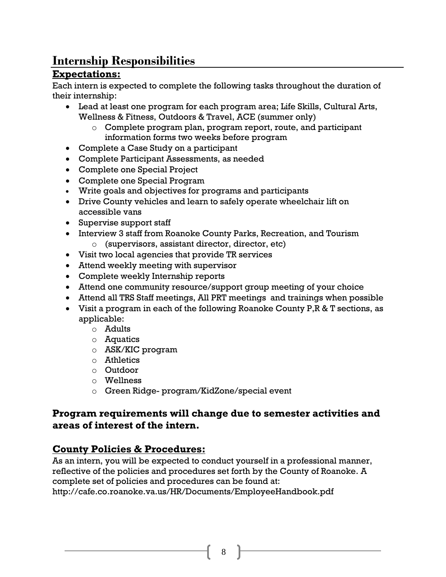# **Internship Responsibilities**

# **Expectations:**

Each intern is expected to complete the following tasks throughout the duration of their internship:

- Lead at least one program for each program area; Life Skills, Cultural Arts, Wellness & Fitness, Outdoors & Travel, ACE (summer only)
	- o Complete program plan, program report, route, and participant information forms two weeks before program
- Complete a Case Study on a participant
- Complete Participant Assessments, as needed
- Complete one Special Project
- Complete one Special Program
- Write goals and objectives for programs and participants
- Drive County vehicles and learn to safely operate wheelchair lift on accessible vans
- Supervise support staff
- Interview 3 staff from Roanoke County Parks, Recreation, and Tourism o (supervisors, assistant director, director, etc)
- Visit two local agencies that provide TR services
- Attend weekly meeting with supervisor
- Complete weekly Internship reports
- Attend one community resource/support group meeting of your choice
- Attend all TRS Staff meetings, All PRT meetings and trainings when possible
- Visit a program in each of the following Roanoke County P,R & T sections, as applicable:
	- o Adults
	- o Aquatics
	- o ASK/KIC program
	- o Athletics
	- o Outdoor
	- o Wellness
	- o Green Ridge- program/KidZone/special event

### **Program requirements will change due to semester activities and areas of interest of the intern.**

## **County Policies & Procedures:**

As an intern, you will be expected to conduct yourself in a professional manner, reflective of the policies and procedures set forth by the County of Roanoke. A complete set of policies and procedures can be found at: http://cafe.co.roanoke.va.us/HR/Documents/EmployeeHandbook.pdf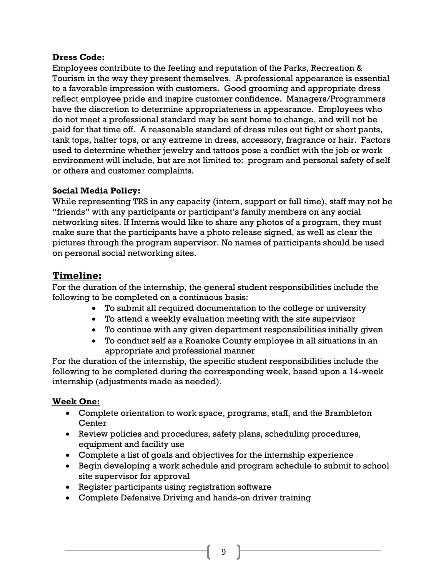#### **Dress Code:**

Employees contribute to the feeling and reputation of the Parks, Recreation & Tourism in the way they present themselves. A professional appearance is essential to a favorable impression with customers. Good grooming and appropriate dress reflect employee pride and inspire customer confidence. Managers/Programmers have the discretion to determine appropriateness in appearance. Employees who do not meet a professional standard may be sent home to change, and will not be paid for that time off. A reasonable standard of dress rules out tight or short pants, tank tops, halter tops, or any extreme in dress, accessory, fragrance or hair. Factors used to determine whether jewelry and tattoos pose a conflict with the job or work environment will include, but are not limited to: program and personal safety of self or others and customer complaints.

#### **Social Media Policy:**

While representing TRS in any capacity (intern, support or full time), staff may not be "friends" with any participants or participant's family members on any social networking sites. If Interns would like to share any photos of a program, they must make sure that the participants have a photo release signed, as well as clear the pictures through the program supervisor. No names of participants should be used on personal social networking sites.

### **Timeline:**

For the duration of the internship, the general student responsibilities include the following to be completed on a continuous basis:

- To submit all required documentation to the college or university
- To attend a weekly evaluation meeting with the site supervisor
- To continue with any given department responsibilities initially given
- To conduct self as a Roanoke County employee in all situations in an appropriate and professional manner

For the duration of the internship, the specific student responsibilities include the following to be completed during the corresponding week, based upon a 14-week internship (adjustments made as needed).

#### **Week One:**

- Complete orientation to work space, programs, staff, and the Brambleton **Center**
- Review policies and procedures, safety plans, scheduling procedures, equipment and facility use
- Complete a list of goals and objectives for the internship experience
- Begin developing a work schedule and program schedule to submit to school site supervisor for approval
- Register participants using registration software
- Complete Defensive Driving and hands-on driver training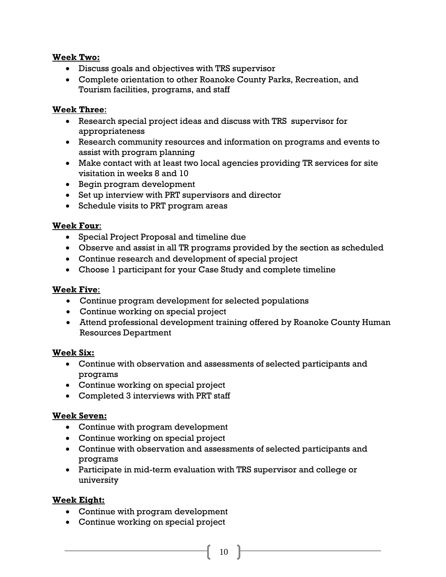#### **Week Two:**

- Discuss goals and objectives with TRS supervisor
- Complete orientation to other Roanoke County Parks, Recreation, and Tourism facilities, programs, and staff

### **Week Three**:

- Research special project ideas and discuss with TRS supervisor for appropriateness
- Research community resources and information on programs and events to assist with program planning
- Make contact with at least two local agencies providing TR services for site visitation in weeks 8 and 10
- Begin program development
- Set up interview with PRT supervisors and director
- Schedule visits to PRT program areas

#### **Week Four**:

- Special Project Proposal and timeline due
- Observe and assist in all TR programs provided by the section as scheduled
- Continue research and development of special project
- Choose 1 participant for your Case Study and complete timeline

#### **Week Five**:

- Continue program development for selected populations
- Continue working on special project
- Attend professional development training offered by Roanoke County Human Resources Department

#### **Week Six:**

- Continue with observation and assessments of selected participants and programs
- Continue working on special project
- Completed 3 interviews with PRT staff

### **Week Seven:**

- Continue with program development
- Continue working on special project
- Continue with observation and assessments of selected participants and programs
- Participate in mid-term evaluation with TRS supervisor and college or university

### **Week Eight:**

- Continue with program development
- Continue working on special project
	- 10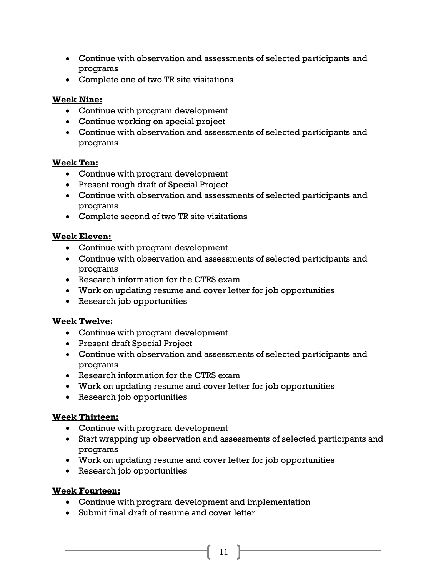- Continue with observation and assessments of selected participants and programs
- Complete one of two TR site visitations

### **Week Nine:**

- Continue with program development
- Continue working on special project
- Continue with observation and assessments of selected participants and programs

#### **Week Ten:**

- Continue with program development
- Present rough draft of Special Project
- Continue with observation and assessments of selected participants and programs
- Complete second of two TR site visitations

### **Week Eleven:**

- Continue with program development
- Continue with observation and assessments of selected participants and programs
- Research information for the CTRS exam
- Work on updating resume and cover letter for job opportunities
- Research job opportunities

#### **Week Twelve:**

- Continue with program development
- Present draft Special Project
- Continue with observation and assessments of selected participants and programs
- Research information for the CTRS exam
- Work on updating resume and cover letter for job opportunities
- Research job opportunities

### **Week Thirteen:**

- Continue with program development
- Start wrapping up observation and assessments of selected participants and programs

11

- Work on updating resume and cover letter for job opportunities
- Research job opportunities

#### **Week Fourteen:**

- Continue with program development and implementation
- Submit final draft of resume and cover letter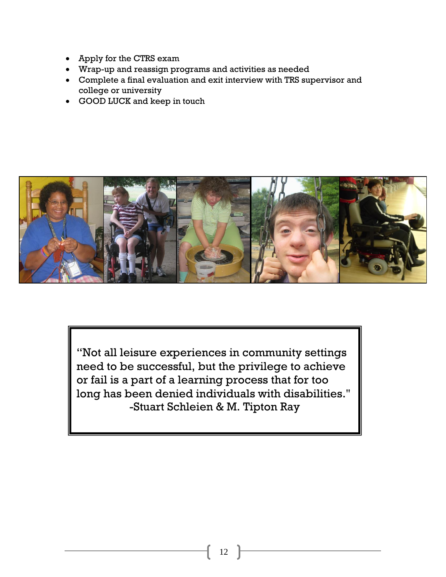- Apply for the CTRS exam
- Wrap-up and reassign programs and activities as needed
- Complete a final evaluation and exit interview with TRS supervisor and college or university
- GOOD LUCK and keep in touch



"Not all leisure experiences in community settings need to be successful, but the privilege to achieve or fail is a part of a learning process that for too long has been denied individuals with disabilities." -Stuart Schleien & M. Tipton Ray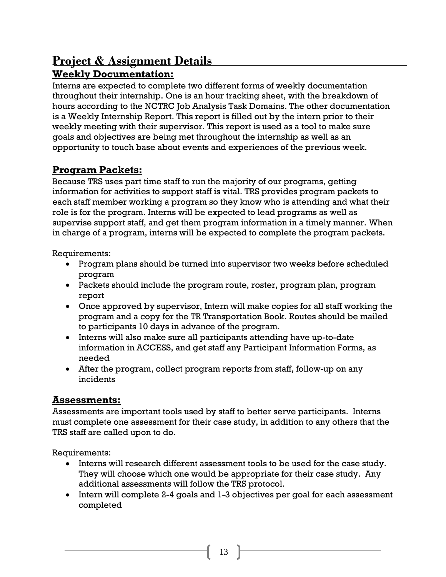# **Project & Assignment Details Weekly Documentation:**

Interns are expected to complete two different forms of weekly documentation throughout their internship. One is an hour tracking sheet, with the breakdown of hours according to the NCTRC Job Analysis Task Domains. The other documentation is a Weekly Internship Report. This report is filled out by the intern prior to their weekly meeting with their supervisor. This report is used as a tool to make sure goals and objectives are being met throughout the internship as well as an opportunity to touch base about events and experiences of the previous week.

# **Program Packets:**

Because TRS uses part time staff to run the majority of our programs, getting information for activities to support staff is vital. TRS provides program packets to each staff member working a program so they know who is attending and what their role is for the program. Interns will be expected to lead programs as well as supervise support staff, and get them program information in a timely manner. When in charge of a program, interns will be expected to complete the program packets.

Requirements:

- Program plans should be turned into supervisor two weeks before scheduled program
- Packets should include the program route, roster, program plan, program report
- Once approved by supervisor, Intern will make copies for all staff working the program and a copy for the TR Transportation Book. Routes should be mailed to participants 10 days in advance of the program.
- Interns will also make sure all participants attending have up-to-date information in ACCESS, and get staff any Participant Information Forms, as needed
- After the program, collect program reports from staff, follow-up on any incidents

# **Assessments:**

Assessments are important tools used by staff to better serve participants. Interns must complete one assessment for their case study, in addition to any others that the TRS staff are called upon to do.

Requirements:

- Interns will research different assessment tools to be used for the case study. They will choose which one would be appropriate for their case study. Any additional assessments will follow the TRS protocol.
- Intern will complete 2-4 goals and 1-3 objectives per goal for each assessment completed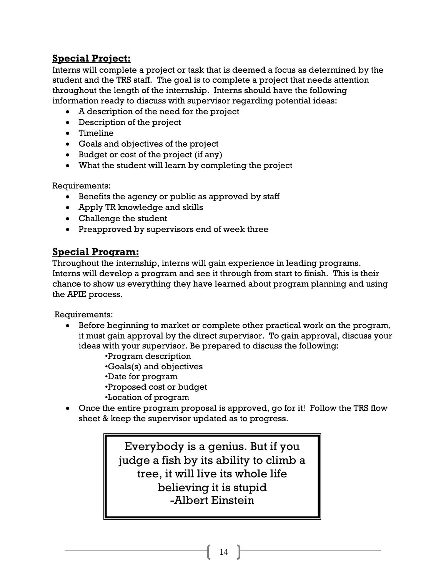## **Special Project:**

Interns will complete a project or task that is deemed a focus as determined by the student and the TRS staff. The goal is to complete a project that needs attention throughout the length of the internship. Interns should have the following information ready to discuss with supervisor regarding potential ideas:

- A description of the need for the project
- Description of the project
- Timeline
- Goals and objectives of the project
- Budget or cost of the project (if any)
- What the student will learn by completing the project

Requirements:

- Benefits the agency or public as approved by staff
- Apply TR knowledge and skills
- Challenge the student
- Preapproved by supervisors end of week three

## **Special Program:**

Throughout the internship, interns will gain experience in leading programs. Interns will develop a program and see it through from start to finish. This is their chance to show us everything they have learned about program planning and using the APIE process.

Requirements:

 Before beginning to market or complete other practical work on the program, it must gain approval by the direct supervisor. To gain approval, discuss your ideas with your supervisor. Be prepared to discuss the following:

•Program description

•Goals(s) and objectives

- •Date for program
- •Proposed cost or budget
- •Location of program
- Once the entire program proposal is approved, go for it! Follow the TRS flow sheet & keep the supervisor updated as to progress.

Everybody is a genius. But if you judge a fish by its ability to climb a tree, it will live its whole life believing it is stupid -Albert Einstein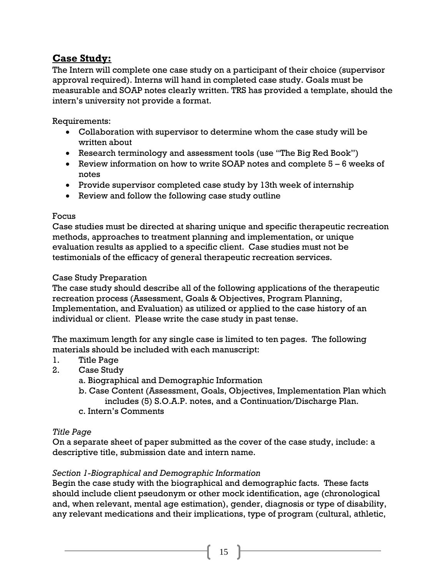## **Case Study:**

The Intern will complete one case study on a participant of their choice (supervisor approval required). Interns will hand in completed case study. Goals must be measurable and SOAP notes clearly written. TRS has provided a template, should the intern's university not provide a format.

Requirements:

- Collaboration with supervisor to determine whom the case study will be written about
- Research terminology and assessment tools (use "The Big Red Book")
- Exercise Netwin formation on how to write SOAP notes and complete  $5 6$  weeks of notes
- Provide supervisor completed case study by 13th week of internship
- Review and follow the following case study outline

#### Focus

Case studies must be directed at sharing unique and specific therapeutic recreation methods, approaches to treatment planning and implementation, or unique evaluation results as applied to a specific client. Case studies must not be testimonials of the efficacy of general therapeutic recreation services.

#### Case Study Preparation

The case study should describe all of the following applications of the therapeutic recreation process (Assessment, Goals & Objectives, Program Planning, Implementation, and Evaluation) as utilized or applied to the case history of an individual or client. Please write the case study in past tense.

The maximum length for any single case is limited to ten pages. The following materials should be included with each manuscript:

- 1. Title Page
- 2. Case Study
	- a. Biographical and Demographic Information
	- b. Case Content (Assessment, Goals, Objectives, Implementation Plan which includes (5) S.O.A.P. notes, and a Continuation/Discharge Plan.
	- c. Intern's Comments

#### *Title Page*

On a separate sheet of paper submitted as the cover of the case study, include: a descriptive title, submission date and intern name.

### *Section 1-Biographical and Demographic Information*

Begin the case study with the biographical and demographic facts. These facts should include client pseudonym or other mock identification, age (chronological and, when relevant, mental age estimation), gender, diagnosis or type of disability, any relevant medications and their implications, type of program (cultural, athletic,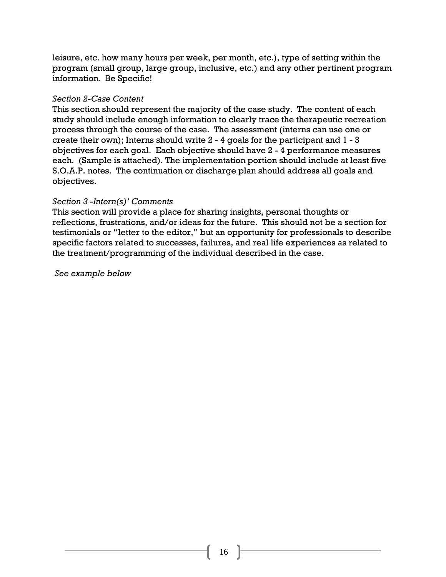leisure, etc. how many hours per week, per month, etc.), type of setting within the program (small group, large group, inclusive, etc.) and any other pertinent program information. Be Specific!

#### *Section 2-Case Content*

This section should represent the majority of the case study. The content of each study should include enough information to clearly trace the therapeutic recreation process through the course of the case. The assessment (interns can use one or create their own); Interns should write 2 - 4 goals for the participant and 1 - 3 objectives for each goal. Each objective should have 2 - 4 performance measures each. (Sample is attached). The implementation portion should include at least five S.O.A.P. notes. The continuation or discharge plan should address all goals and objectives.

#### *Section 3 -Intern(s)' Comments*

This section will provide a place for sharing insights, personal thoughts or reflections, frustrations, and/or ideas for the future. This should not be a section for testimonials or "letter to the editor," but an opportunity for professionals to describe specific factors related to successes, failures, and real life experiences as related to the treatment/programming of the individual described in the case.

*See example below*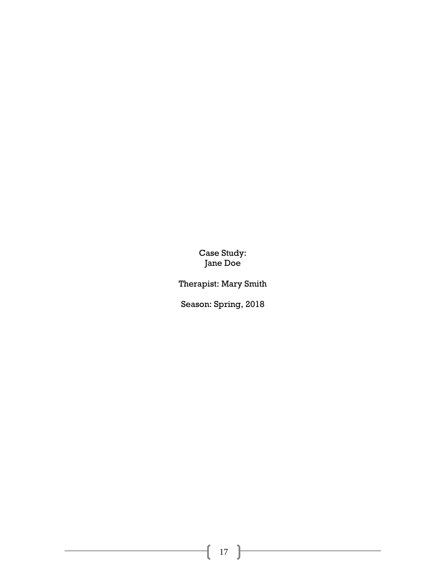Case Study: Jane Doe

Therapist: Mary Smith

Season: Spring, 2018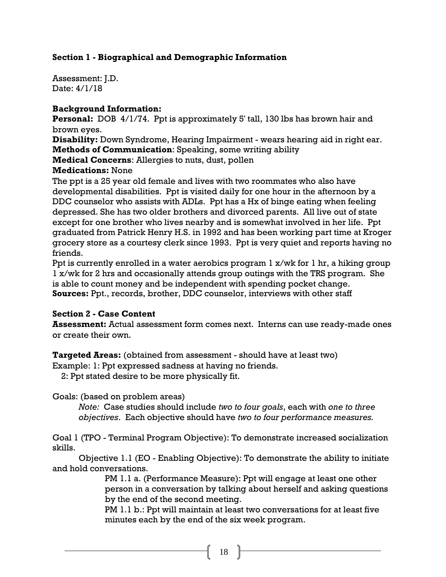#### **Section 1 - Biographical and Demographic Information**

Assessment: J.D. Date: 4/1/18

#### **Background Information:**

**Personal:** DOB 4/1/74. Ppt is approximately 5' tall, 130 lbs has brown hair and brown eyes.

**Disability:** Down Syndrome, Hearing Impairment - wears hearing aid in right ear. **Methods of Communication**: Speaking, some writing ability

**Medical Concerns**: Allergies to nuts, dust, pollen

#### **Medications:** None

The ppt is a 25 year old female and lives with two roommates who also have developmental disabilities. Ppt is visited daily for one hour in the afternoon by a DDC counselor who assists with ADLs. Ppt has a Hx of binge eating when feeling depressed. She has two older brothers and divorced parents. All live out of state except for one brother who lives nearby and is somewhat involved in her life. Ppt graduated from Patrick Henry H.S. in 1992 and has been working part time at Kroger grocery store as a courtesy clerk since 1993. Ppt is very quiet and reports having no friends.

Ppt is currently enrolled in a water aerobics program 1 x/wk for 1 hr, a hiking group 1 x/wk for 2 hrs and occasionally attends group outings with the TRS program. She is able to count money and be independent with spending pocket change. **Sources:** Ppt., records, brother, DDC counselor, interviews with other staff

#### **Section 2 - Case Content**

**Assessment:** Actual assessment form comes next. Interns can use ready-made ones or create their own.

**Targeted Areas:** (obtained from assessment - should have at least two)

Example: 1: Ppt expressed sadness at having no friends.

2: Ppt stated desire to be more physically fit.

Goals: (based on problem areas)

*Note:* Case studies should include *two to four goals*, each with *one to three objectives*. Each objective should have *two to four performance measures.*

Goal 1 (TPO - Terminal Program Objective): To demonstrate increased socialization skills.

Objective 1.1 (EO - Enabling Objective): To demonstrate the ability to initiate and hold conversations.

> PM 1.1 a. (Performance Measure): Ppt will engage at least one other person in a conversation by talking about herself and asking questions by the end of the second meeting.

PM 1.1 b.: Ppt will maintain at least two conversations for at least five minutes each by the end of the six week program.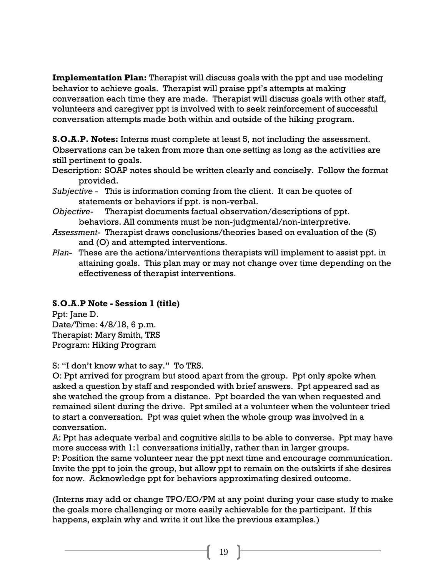**Implementation Plan:** Therapist will discuss goals with the ppt and use modeling behavior to achieve goals. Therapist will praise ppt's attempts at making conversation each time they are made. Therapist will discuss goals with other staff, volunteers and caregiver ppt is involved with to seek reinforcement of successful conversation attempts made both within and outside of the hiking program.

**S.O.A.P. Notes:** Interns must complete at least 5, not including the assessment. Observations can be taken from more than one setting as long as the activities are still pertinent to goals.

Description: SOAP notes should be written clearly and concisely. Follow the format provided.

- *Subjective* This is information coming from the client. It can be quotes of statements or behaviors if ppt. is non-verbal.
- *Objective-* Therapist documents factual observation/descriptions of ppt. behaviors. All comments must be non-judgmental/non-interpretive.
- *Assessment* Therapist draws conclusions/theories based on evaluation of the (S) and (O) and attempted interventions.
- *Plan* These are the actions/interventions therapists will implement to assist ppt. in attaining goals. This plan may or may not change over time depending on the effectiveness of therapist interventions.

### **S.O.A.P Note - Session 1 (title)**

Ppt: Jane D. Date/Time: 4/8/18, 6 p.m. Therapist: Mary Smith, TRS Program: Hiking Program

S: "I don't know what to say." To TRS.

O: Ppt arrived for program but stood apart from the group. Ppt only spoke when asked a question by staff and responded with brief answers. Ppt appeared sad as she watched the group from a distance. Ppt boarded the van when requested and remained silent during the drive. Ppt smiled at a volunteer when the volunteer tried to start a conversation. Ppt was quiet when the whole group was involved in a conversation.

A: Ppt has adequate verbal and cognitive skills to be able to converse. Ppt may have more success with 1:1 conversations initially, rather than in larger groups.

P: Position the same volunteer near the ppt next time and encourage communication. Invite the ppt to join the group, but allow ppt to remain on the outskirts if she desires for now. Acknowledge ppt for behaviors approximating desired outcome.

(Interns may add or change TPO/EO/PM at any point during your case study to make the goals more challenging or more easily achievable for the participant. If this happens, explain why and write it out like the previous examples.)